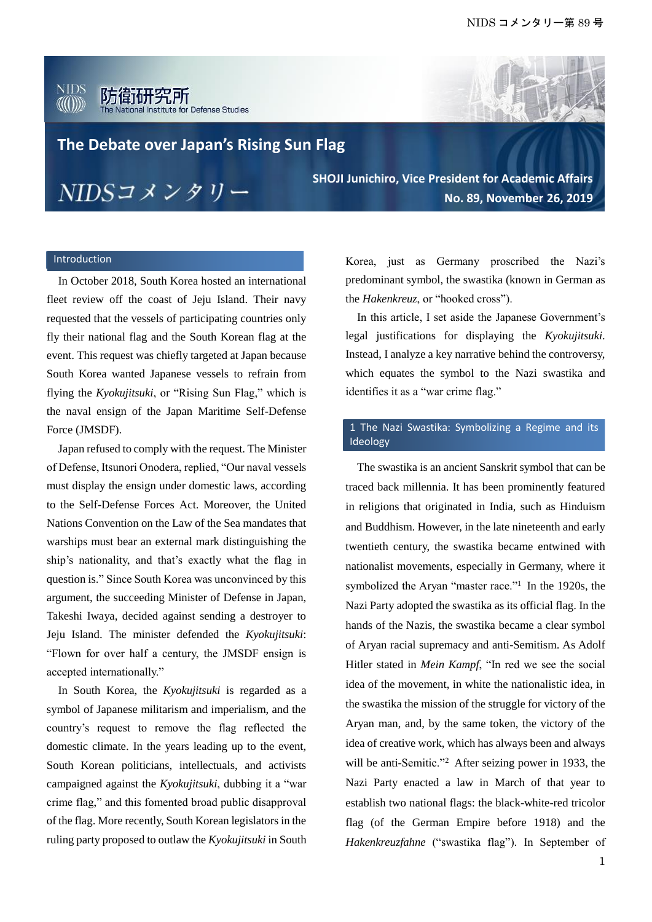#### **NIDS** AU (1))) for Defense Studies



**The Debate over Japan's Rising Sun Flag**

NIDSコメンタリー

**SHOJI Junichiro, Vice President for Academic Affairs No. 89, November 26, 2019** 

# Introduction

In October 2018, South Korea hosted an international fleet review off the coast of Jeju Island. Their navy requested that the vessels of participating countries only fly their national flag and the South Korean flag at the event. This request was chiefly targeted at Japan because South Korea wanted Japanese vessels to refrain from flying the *Kyokujitsuki*, or "Rising Sun Flag," which is the naval ensign of the Japan Maritime Self-Defense Force (JMSDF).

Japan refused to comply with the request. The Minister of Defense, Itsunori Onodera, replied, "Our naval vessels must display the ensign under domestic laws, according to the Self-Defense Forces Act. Moreover, the United Nations Convention on the Law of the Sea mandates that warships must bear an external mark distinguishing the ship's nationality, and that's exactly what the flag in question is." Since South Korea was unconvinced by this argument, the succeeding Minister of Defense in Japan, Takeshi Iwaya, decided against sending a destroyer to Jeju Island. The minister defended the *Kyokujitsuki*: "Flown for over half a century, the JMSDF ensign is accepted internationally."

In South Korea, the *Kyokujitsuki* is regarded as a symbol of Japanese militarism and imperialism, and the country's request to remove the flag reflected the domestic climate. In the years leading up to the event, South Korean politicians, intellectuals, and activists campaigned against the *Kyokujitsuki*, dubbing it a "war crime flag," and this fomented broad public disapproval of the flag. More recently, South Korean legislators in the ruling party proposed to outlaw the *Kyokujitsuki* in South Korea, just as Germany proscribed the Nazi's predominant symbol, the swastika (known in German as the *Hakenkreuz*, or "hooked cross").

In this article, I set aside the Japanese Government's legal justifications for displaying the *Kyokujitsuki*. Instead, I analyze a key narrative behind the controversy, which equates the symbol to the Nazi swastika and identifies it as a "war crime flag."

### 1 The Nazi Swastika: Symbolizing a Regime and its Ideology

The swastika is an ancient Sanskrit symbol that can be traced back millennia. It has been prominently featured in religions that originated in India, such as Hinduism and Buddhism. However, in the late nineteenth and early twentieth century, the swastika became entwined with nationalist movements, especially in Germany, where it symbolized the Aryan "master race."<sup>1</sup> In the 1920s, the Nazi Party adopted the swastika as its official flag. In the hands of the Nazis, the swastika became a clear symbol of Aryan racial supremacy and anti-Semitism. As Adolf Hitler stated in *Mein Kampf*, "In red we see the social idea of the movement, in white the nationalistic idea, in the swastika the mission of the struggle for victory of the Aryan man, and, by the same token, the victory of the idea of creative work, which has always been and always will be anti-Semitic."<sup>2</sup> After seizing power in 1933, the Nazi Party enacted a law in March of that year to establish two national flags: the black-white-red tricolor flag (of the German Empire before 1918) and the *Hakenkreuzfahne* ("swastika flag"). In September of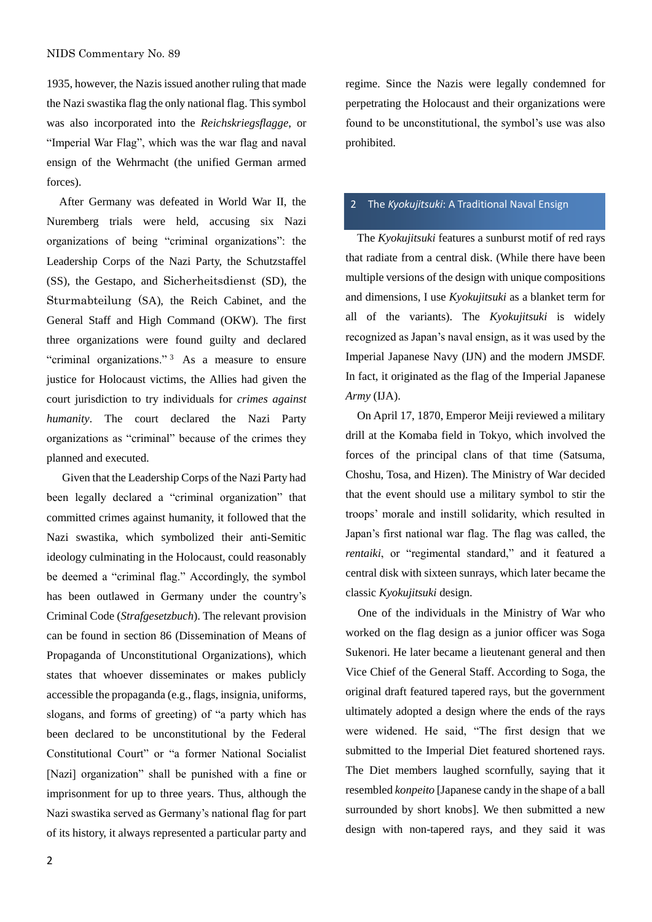1935, however, the Nazis issued another ruling that made the Nazi swastika flag the only national flag. This symbol was also incorporated into the *Reichskriegsflagge*, or "Imperial War Flag", which was the war flag and naval ensign of the Wehrmacht (the unified German armed forces).

After Germany was defeated in World War II, the Nuremberg trials were held, accusing six Nazi organizations of being "criminal organizations": the Leadership Corps of the Nazi Party, the Schutzstaffel (SS), the Gestapo, and Sicherheitsdienst (SD), the Sturmabteilung (SA), the Reich Cabinet, and the General Staff and High Command (OKW). The first three organizations were found guilty and declared "criminal organizations."<sup>3</sup> As a measure to ensure justice for Holocaust victims, the Allies had given the court jurisdiction to try individuals for *crimes against humanity*. The court declared the Nazi Party organizations as "criminal" because of the crimes they planned and executed.

Given that the Leadership Corps of the Nazi Party had been legally declared a "criminal organization" that committed crimes against humanity, it followed that the Nazi swastika, which symbolized their anti-Semitic ideology culminating in the Holocaust, could reasonably be deemed a "criminal flag." Accordingly, the symbol has been outlawed in Germany under the country's Criminal Code (*Strafgesetzbuch*). The relevant provision can be found in section 86 (Dissemination of Means of Propaganda of Unconstitutional Organizations), which states that whoever disseminates or makes publicly accessible the propaganda (e.g., flags, insignia, uniforms, slogans, and forms of greeting) of "a party which has been declared to be unconstitutional by the Federal Constitutional Court" or "a former National Socialist [Nazi] organization" shall be punished with a fine or imprisonment for up to three years. Thus, although the Nazi swastika served as Germany's national flag for part of its history, it always represented a particular party and regime. Since the Nazis were legally condemned for perpetrating the Holocaust and their organizations were found to be unconstitutional, the symbol's use was also prohibited.

# 2 The *Kyokujitsuki*: A Traditional Naval Ensign

The *Kyokujitsuki* features a sunburst motif of red rays that radiate from a central disk. (While there have been multiple versions of the design with unique compositions and dimensions, I use *Kyokujitsuki* as a blanket term for all of the variants). The *Kyokujitsuki* is widely recognized as Japan's naval ensign, as it was used by the Imperial Japanese Navy (IJN) and the modern JMSDF. In fact, it originated as the flag of the Imperial Japanese *Army* (IJA).

On April 17, 1870, Emperor Meiji reviewed a military drill at the Komaba field in Tokyo, which involved the forces of the principal clans of that time (Satsuma, Choshu, Tosa, and Hizen). The Ministry of War decided that the event should use a military symbol to stir the troops' morale and instill solidarity, which resulted in Japan's first national war flag. The flag was called, the *rentaiki*, or "regimental standard," and it featured a central disk with sixteen sunrays, which later became the classic *Kyokujitsuki* design.

One of the individuals in the Ministry of War who worked on the flag design as a junior officer was Soga Sukenori. He later became a lieutenant general and then Vice Chief of the General Staff. According to Soga, the original draft featured tapered rays, but the government ultimately adopted a design where the ends of the rays were widened. He said, "The first design that we submitted to the Imperial Diet featured shortened rays. The Diet members laughed scornfully, saying that it resembled *konpeito* [Japanese candy in the shape of a ball surrounded by short knobs]. We then submitted a new design with non-tapered rays, and they said it was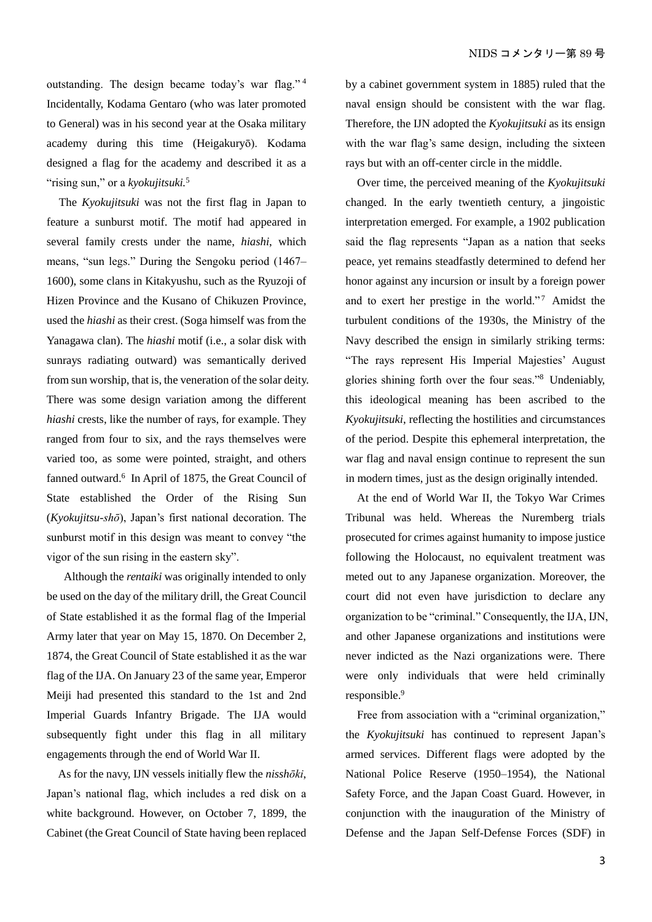outstanding. The design became today's war flag." <sup>4</sup> Incidentally, Kodama Gentaro (who was later promoted to General) was in his second year at the Osaka military academy during this time (Heigakuryō). Kodama designed a flag for the academy and described it as a "rising sun," or a *kyokujitsuki.*<sup>5</sup>

The *Kyokujitsuki* was not the first flag in Japan to feature a sunburst motif. The motif had appeared in several family crests under the name, *hiashi*, which means, "sun legs." During the Sengoku period (1467– 1600), some clans in Kitakyushu, such as the Ryuzoji of Hizen Province and the Kusano of Chikuzen Province, used the *hiashi* as their crest. (Soga himself was from the Yanagawa clan). The *hiashi* motif (i.e., a solar disk with sunrays radiating outward) was semantically derived from sun worship, that is, the veneration of the solar deity. There was some design variation among the different *hiashi* crests, like the number of rays, for example. They ranged from four to six, and the rays themselves were varied too, as some were pointed, straight, and others fanned outward.<sup>6</sup> In April of 1875, the Great Council of State established the Order of the Rising Sun (*Kyokujitsu-shō*), Japan's first national decoration. The sunburst motif in this design was meant to convey "the vigor of the sun rising in the eastern sky".

Although the *rentaiki* was originally intended to only be used on the day of the military drill, the Great Council of State established it as the formal flag of the Imperial Army later that year on May 15, 1870. On December 2, 1874, the Great Council of State established it as the war flag of the IJA. On January 23 of the same year, Emperor Meiji had presented this standard to the 1st and 2nd Imperial Guards Infantry Brigade. The IJA would subsequently fight under this flag in all military engagements through the end of World War II.

As for the navy, IJN vessels initially flew the *nisshōki*, Japan's national flag, which includes a red disk on a white background. However, on October 7, 1899, the Cabinet (the Great Council of State having been replaced by a cabinet government system in 1885) ruled that the naval ensign should be consistent with the war flag. Therefore, the IJN adopted the *Kyokujitsuki* as its ensign with the war flag's same design, including the sixteen rays but with an off-center circle in the middle.

Over time, the perceived meaning of the *Kyokujitsuki* changed. In the early twentieth century, a jingoistic interpretation emerged. For example, a 1902 publication said the flag represents "Japan as a nation that seeks peace, yet remains steadfastly determined to defend her honor against any incursion or insult by a foreign power and to exert her prestige in the world."<sup>7</sup> Amidst the turbulent conditions of the 1930s, the Ministry of the Navy described the ensign in similarly striking terms: "The rays represent His Imperial Majesties' August glories shining forth over the four seas."<sup>8</sup> Undeniably, this ideological meaning has been ascribed to the *Kyokujitsuki*, reflecting the hostilities and circumstances of the period. Despite this ephemeral interpretation, the war flag and naval ensign continue to represent the sun in modern times, just as the design originally intended.

At the end of World War II, the Tokyo War Crimes Tribunal was held. Whereas the Nuremberg trials prosecuted for crimes against humanity to impose justice following the Holocaust, no equivalent treatment was meted out to any Japanese organization. Moreover, the court did not even have jurisdiction to declare any organization to be "criminal." Consequently, the IJA, IJN, and other Japanese organizations and institutions were never indicted as the Nazi organizations were. There were only individuals that were held criminally responsible.<sup>9</sup>

Free from association with a "criminal organization," the *Kyokujitsuki* has continued to represent Japan's armed services. Different flags were adopted by the National Police Reserve (1950–1954), the National Safety Force, and the Japan Coast Guard. However, in conjunction with the inauguration of the Ministry of Defense and the Japan Self-Defense Forces (SDF) in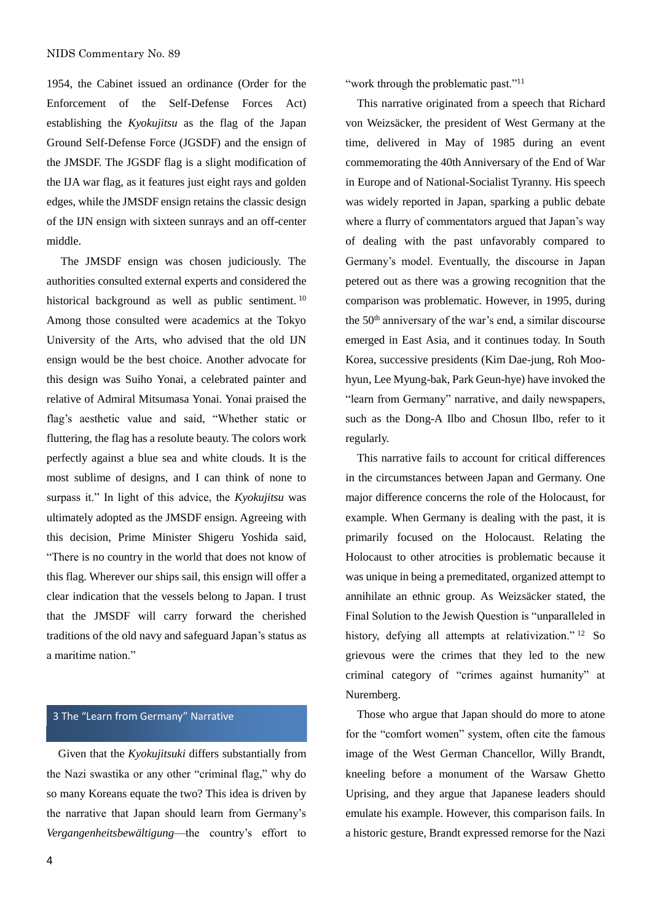1954, the Cabinet issued an ordinance (Order for the Enforcement of the Self-Defense Forces Act) establishing the *Kyokujitsu* as the flag of the Japan Ground Self-Defense Force (JGSDF) and the ensign of the JMSDF. The JGSDF flag is a slight modification of the IJA war flag, as it features just eight rays and golden edges, while the JMSDF ensign retains the classic design of the IJN ensign with sixteen sunrays and an off-center middle.

The JMSDF ensign was chosen judiciously. The authorities consulted external experts and considered the historical background as well as public sentiment.<sup>10</sup> Among those consulted were academics at the Tokyo University of the Arts, who advised that the old IJN ensign would be the best choice. Another advocate for this design was Suiho Yonai, a celebrated painter and relative of Admiral Mitsumasa Yonai. Yonai praised the flag's aesthetic value and said, "Whether static or fluttering, the flag has a resolute beauty. The colors work perfectly against a blue sea and white clouds. It is the most sublime of designs, and I can think of none to surpass it." In light of this advice, the *Kyokujitsu* was ultimately adopted as the JMSDF ensign. Agreeing with this decision, Prime Minister Shigeru Yoshida said, "There is no country in the world that does not know of this flag. Wherever our ships sail, this ensign will offer a clear indication that the vessels belong to Japan. I trust that the JMSDF will carry forward the cherished traditions of the old navy and safeguard Japan's status as a maritime nation."

### 3 The "Learn from Germany" Narrative

Given that the *Kyokujitsuki* differs substantially from the Nazi swastika or any other "criminal flag," why do so many Koreans equate the two? This idea is driven by the narrative that Japan should learn from Germany's *Vergangenheitsbewältigung*—the country's effort to

"work through the problematic past."<sup>11</sup>

This narrative originated from a speech that Richard von Weizsäcker, the president of West Germany at the time, delivered in May of 1985 during an event commemorating the 40th Anniversary of the End of War in Europe and of National-Socialist Tyranny. His speech was widely reported in Japan, sparking a public debate where a flurry of commentators argued that Japan's way of dealing with the past unfavorably compared to Germany's model. Eventually, the discourse in Japan petered out as there was a growing recognition that the comparison was problematic. However, in 1995, during the 50<sup>th</sup> anniversary of the war's end, a similar discourse emerged in East Asia, and it continues today. In South Korea, successive presidents (Kim Dae-jung, Roh Moohyun, Lee Myung-bak, Park Geun-hye) have invoked the "learn from Germany" narrative, and daily newspapers, such as the Dong-A Ilbo and Chosun Ilbo, refer to it regularly.

This narrative fails to account for critical differences in the circumstances between Japan and Germany. One major difference concerns the role of the Holocaust, for example. When Germany is dealing with the past, it is primarily focused on the Holocaust. Relating the Holocaust to other atrocities is problematic because it was unique in being a premeditated, organized attempt to annihilate an ethnic group. As Weizsäcker stated, the Final Solution to the Jewish Question is "unparalleled in history, defying all attempts at relativization."<sup>12</sup> So grievous were the crimes that they led to the new criminal category of "crimes against humanity" at Nuremberg.

Those who argue that Japan should do more to atone for the "comfort women" system, often cite the famous image of the West German Chancellor, Willy Brandt, kneeling before a monument of the Warsaw Ghetto Uprising, and they argue that Japanese leaders should emulate his example. However, this comparison fails. In a historic gesture, Brandt expressed remorse for the Nazi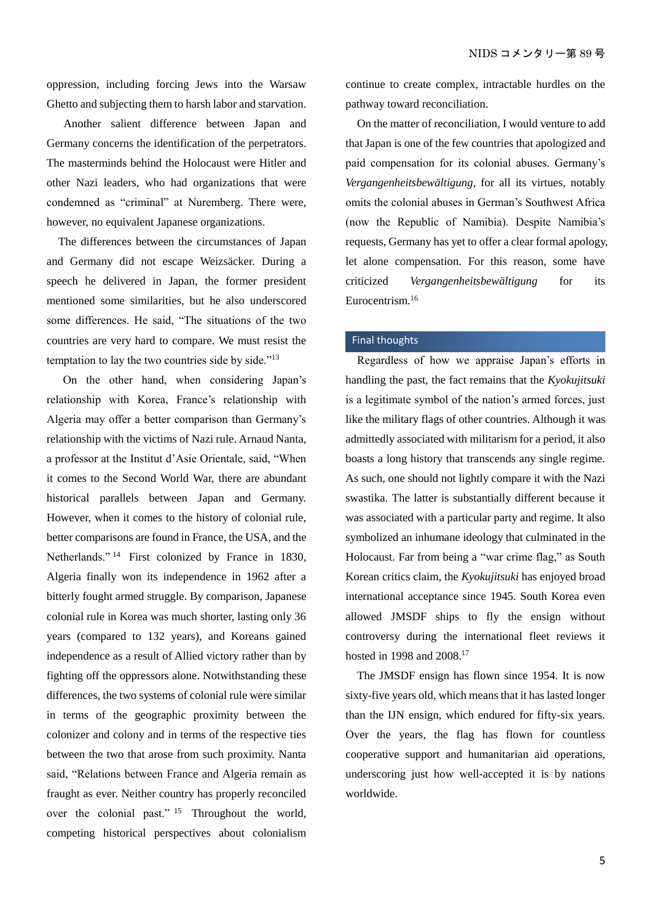oppression, including forcing Jews into the Warsaw Ghetto and subjecting them to harsh labor and starvation.

Another salient difference between Japan and Germany concerns the identification of the perpetrators. The masterminds behind the Holocaust were Hitler and other Nazi leaders, who had organizations that were condemned as "criminal" at Nuremberg. There were, however, no equivalent Japanese organizations.

The differences between the circumstances of Japan and Germany did not escape Weizsäcker. During a speech he delivered in Japan, the former president mentioned some similarities, but he also underscored some differences. He said, "The situations of the two countries are very hard to compare. We must resist the temptation to lay the two countries side by side."<sup>13</sup>

On the other hand, when considering Japan's relationship with Korea, France's relationship with Algeria may offer a better comparison than Germany's relationship with the victims of Nazi rule. Arnaud Nanta, a professor at the Institut d'Asie Orientale, said, "When it comes to the Second World War, there are abundant historical parallels between Japan and Germany. However, when it comes to the history of colonial rule, better comparisons are found in France, the USA, and the Netherlands." <sup>14</sup> First colonized by France in 1830, Algeria finally won its independence in 1962 after a bitterly fought armed struggle. By comparison, Japanese colonial rule in Korea was much shorter, lasting only 36 years (compared to 132 years), and Koreans gained independence as a result of Allied victory rather than by fighting off the oppressors alone. Notwithstanding these differences, the two systems of colonial rule were similar in terms of the geographic proximity between the colonizer and colony and in terms of the respective ties between the two that arose from such proximity. Nanta said, "Relations between France and Algeria remain as fraught as ever. Neither country has properly reconciled over the colonial past." <sup>15</sup> Throughout the world, competing historical perspectives about colonialism

continue to create complex, intractable hurdles on the pathway toward reconciliation.

On the matter of reconciliation, I would venture to add that Japan is one of the few countries that apologized and paid compensation for its colonial abuses. Germany's *Vergangenheitsbewältigung*, for all its virtues, notably omits the colonial abuses in German's Southwest Africa (now the Republic of Namibia). Despite Namibia's requests, Germany has yet to offer a clear formal apology, let alone compensation. For this reason, some have criticized *Vergangenheitsbewältigung* for its Eurocentrism.<sup>16</sup>

#### Final thoughts

Regardless of how we appraise Japan's efforts in handling the past, the fact remains that the *Kyokujitsuki*  is a legitimate symbol of the nation's armed forces, just like the military flags of other countries. Although it was admittedly associated with militarism for a period, it also boasts a long history that transcends any single regime. As such, one should not lightly compare it with the Nazi swastika. The latter is substantially different because it was associated with a particular party and regime. It also symbolized an inhumane ideology that culminated in the Holocaust. Far from being a "war crime flag," as South Korean critics claim, the *Kyokujitsuki* has enjoyed broad international acceptance since 1945. South Korea even allowed JMSDF ships to fly the ensign without controversy during the international fleet reviews it hosted in 1998 and 2008.<sup>17</sup>

The JMSDF ensign has flown since 1954. It is now sixty-five years old, which means that it has lasted longer than the IJN ensign, which endured for fifty-six years. Over the years, the flag has flown for countless cooperative support and humanitarian aid operations, underscoring just how well-accepted it is by nations worldwide.